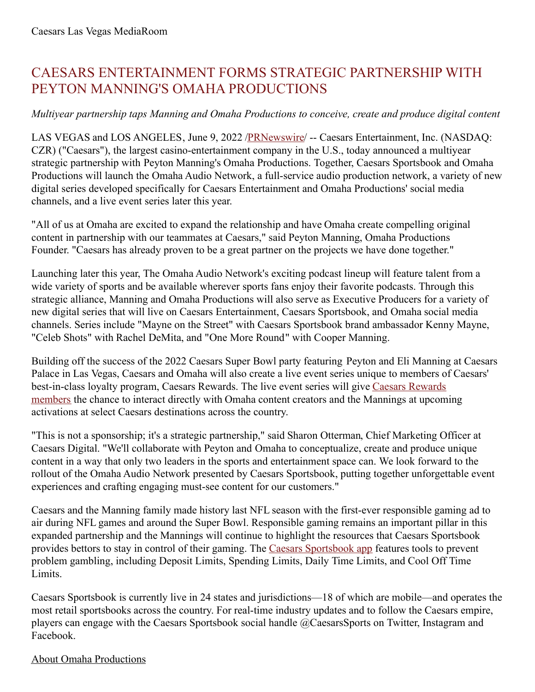## CAESARS ENTERTAINMENT FORMS STRATEGIC PARTNERSHIP WITH PEYTON MANNING'S OMAHA PRODUCTIONS

## *Multiyear partnership taps Manning and Omaha Productions to conceive, create and produce digital content*

LAS VEGAS and LOS ANGELES, June 9, 2022 [/PRNewswire](http://www.prnewswire.com/)/ -- Caesars Entertainment, Inc. (NASDAQ: CZR) ("Caesars"), the largest casino-entertainment company in the U.S., today announced a multiyear strategic partnership with Peyton Manning's Omaha Productions. Together, Caesars Sportsbook and Omaha Productions will launch the Omaha Audio Network, a full-service audio production network, a variety of new digital series developed specifically for Caesars Entertainment and Omaha Productions' social media channels, and a live event series later this year.

"All of us at Omaha are excited to expand the relationship and have Omaha create compelling original content in partnership with our teammates at Caesars," said Peyton Manning, Omaha Productions Founder. "Caesars has already proven to be a great partner on the projects we have done together."

Launching later this year, The Omaha Audio Network's exciting podcast lineup will feature talent from a wide variety of sports and be available wherever sports fans enjoy their favorite podcasts. Through this strategic alliance, Manning and Omaha Productions will also serve as Executive Producers for a variety of new digital series that will live on Caesars Entertainment, Caesars Sportsbook, and Omaha social media channels. Series include "Mayne on the Street" with Caesars Sportsbook brand ambassador Kenny Mayne, "Celeb Shots" with Rachel DeMita, and "One More Round" with Cooper Manning.

Building off the success of the 2022 Caesars Super Bowl party featuring Peyton and Eli Manning at Caesars Palace in Las Vegas, Caesars and Omaha will also create a live event series unique to members of Caesars' [best-in-class](https://c212.net/c/link/?t=0&l=en&o=3562760-1&h=1354505431&u=https%3A%2F%2Fwww.caesars.com%2Fmyrewards&a=Caesars+Rewards+members) loyalty program, Caesars Rewards. The live event series will give Caesars Rewards members the chance to interact directly with Omaha content creators and the Mannings at upcoming activations at select Caesars destinations across the country.

"This is not a sponsorship; it's a strategic partnership," said Sharon Otterman, Chief Marketing Officer at Caesars Digital. "We'll collaborate with Peyton and Omaha to conceptualize, create and produce unique content in a way that only two leaders in the sports and entertainment space can. We look forward to the rollout of the Omaha Audio Network presented by Caesars Sportsbook, putting together unforgettable event experiences and crafting engaging must-see content for our customers."

Caesars and the Manning family made history last NFL season with the first-ever responsible gaming ad to air during NFL games and around the Super Bowl. Responsible gaming remains an important pillar in this expanded partnership and the Mannings will continue to highlight the resources that Caesars Sportsbook provides bettors to stay in control of their gaming. The Caesars [Sportsbook](https://c212.net/c/link/?t=0&l=en&o=3562760-1&h=1293749499&u=https%3A%2F%2Fwww.caesars.com%2Fsportsbook&a=Caesars+Sportsbook+app) app features tools to prevent problem gambling, including Deposit Limits, Spending Limits, Daily Time Limits, and Cool Off Time Limits.

Caesars Sportsbook is currently live in 24 states and jurisdictions—18 of which are mobile—and operates the most retail sportsbooks across the country. For real-time industry updates and to follow the Caesars empire, players can engage with the Caesars Sportsbook social handle @CaesarsSports on Twitter, Instagram and Facebook.

## About Omaha Productions